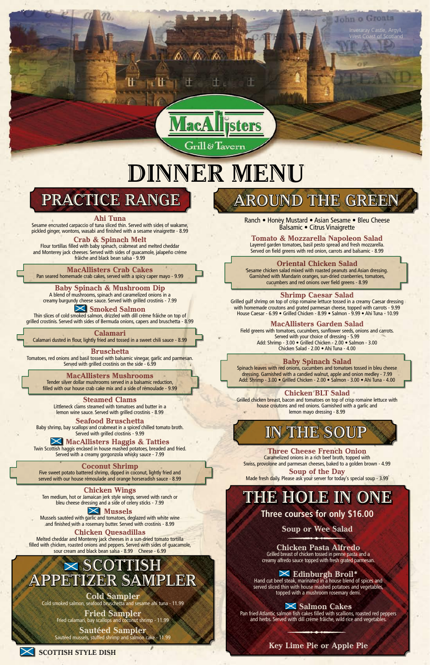Inveraray Castle, Argyll, West Coast of Scotland

John o Groats

# **dinner Menu**

Grill&Tavern

**A** A



## **The hole in one**

**Three courses for only \$16.00**

**Soup or Wee Salad**

### **Chicken Pasta Alfredo**

Grilled breast of chicken tossed in penne pasta and a creamy alfredo sauce topped with fresh grated parmesan.

**Edinburgh Broil\***<br>Hand cut beef steak, marinated in a house blend of spices and served sliced thin with house mashed potatoes and vegetables, topped with a mushroom rosemary demi.

### **Salmon Cakes**

Pan fried Atlantic salmon fish cakes filled with scallions, roasted red peppers and herbs. Served with dill créme frâiche, wild rice and vegetables.

### **Key Lime Pie or Apple Pie**



Grilled gulf shrimp on top of crisp romaine lettuce tossed in a creamy Caesar dressing with homemade croutons and grated parmesan cheese, topped with carrots - 9.99 House Caesar - 6.99 • Grilled Chicken - 8.99 • Salmon - 9.99 • Ahi Tuna - 10.99

Ranch • Honey Mustard • Asian Sesame • Bleu Cheese Balsamic • Citrus Vinaigrette

### **Tomato & Mozzarella Napoleon Salad**

Layered garden tomatoes, basil pesto spread and fresh mozzarella. Served on field greens with red onion, carrots and balsamic - 8.99

### **Oriental Chicken Salad**

Spinach leaves with red onions, cucumbers and tomatoes tossed in bleu cheese dressing. Garnished with a candied walnut, apple and onion medley - 7.99 Add: Shrimp - 3.00 • Grilled Chicken - 2.00 • Salmon - 3.00 • Ahi Tuna - 4.00

Sesame chicken salad mixed with roasted peanuts and Asian dressing. Garnished with Mandarin oranges, sun-dried cranberries, tomatoes, cucumbers and red onions over field greens - 8.99

### **Shrimp Caesar Salad**

### **MacAllisters Garden Salad**

Field greens with tomatoes, cucumbers, sunflower seeds, onions and carrots. Served with your choice of dressing - 5.99 Add: Shrimp - 3.00 • Grilled Chicken - 2.00 • Salmon - 3.00 Chicken Salad - 2.00 • Ahi Tuna - 4.00

### **Baby Spinach Salad**

### **Chicken BLT Salad**

Twin Scottish haggis encased in house mashed potatoes, breaded and fried. Served with a creamy gorgonzola whisky sauce - 7.99

Grilled chicken breast, bacon and tomatoes on top of crisp romaine lettuce with house croutons and red onions. Garnished with a garlic and lemon mayo dressing - 8.99

**Three Cheese French Onion**

Caramelized onions in a rich beef broth, topped with Swiss, provolone and parmesan cheeses, baked to a golden brown - 4.99

**Soup of the Day** Made fresh daily. Please ask your server for today's special soup - 3.99

### **IN THE SOUP**

### **Ahi Tuna**

Sesame encrusted carpaccio of tuna sliced thin. Served with sides of wakame, pickled ginger, wontons, wasabi and finished with a sesame vinaigrette - 8.99

### **Crab & Spinach Melt**

Flour tortillas filled with baby spinach, crabmeat and melted cheddar and Monterey jack cheeses. Served with sides of guacamole, jalapeño créme frâiche and black bean salsa - 9.99

### **MacAllisters Crab Cakes**

Pan seared homemade crab cakes, served with a spicy caper mayo - 9.99

#### **Baby Spinach & Mushroom Dip** A blend of mushrooms, spinach and caramelized onions in a

creamy burgundy cheese sauce. Served with grilled crostinis - 7.99

### **Smoked Salmon**

Thin slices of cold smoked salmon, drizzled with dill créme frâiche on top of grilled crostinis. Served with sides of Bermuda onions, capers and bruschetta - 8.99

### **Calamari**

Calamari dusted in flour, lightly fried and tossed in a sweet chili sauce - 8.99

### **Bruschetta**

Tomatoes, red onions and basil tossed with balsamic vinegar, garlic and parmesan. Served with grilled crostinis on the side - 6.99

### **MacAllisters Mushrooms**

Tender silver dollar mushrooms served in a balsamic reduction, filled with our house crab cake mix and a side of rémoulade - 9.99

### **Steamed Clams**

Littleneck clams steamed with tomatoes and butter in a lemon wine sauce. Served with grilled crostinis - 8.99

### **Seafood Bruschetta**

Baby shrimp, bay scallops and crabmeat in a spiced chilled tomato broth. Served with grilled crostinis - 9.99

### **MacAllisters Haggis & Tatties**

### **Coconut Shrimp**

Five sweet potato battered shrimp, dipped in coconut, lightly fried and served with our house rémoulade and orange horseradish sauce - 8.99

### **PRACTICE RANGE | AROUND THE GREEN**

#### **Chicken Wings**

Ten medium, hot or Jamaican jerk style wings, served with ranch or bleu cheese dressing and a side of celery sticks - 7.99

### **Mussels**

Mussels sautéed with garlic and tomatoes, deglazed with white wine and finished with a rosemary butter. Served with crostinis - 8.99

### **Chicken Quesadillas**

Melted cheddar and Monterey jack cheeses in a sun-dried tomato tortilla filled with chicken, roasted onions and peppers. Served with sides of guacamole, sour cream and black bean salsa - 8.99 Cheese - 6.99

**Cold Sampler** Cold smoked salmon, seafood bruschetta and sesame ahi tuna - 11.99

**Fried Sampler** Fried calamari, bay scallops and coconut shrimp - 11.99

**Sautéed Sampler** Sautéed mussels, stuffed shrimp and salmon cake - 11.99

### **Scottish Appetizer Sampler**